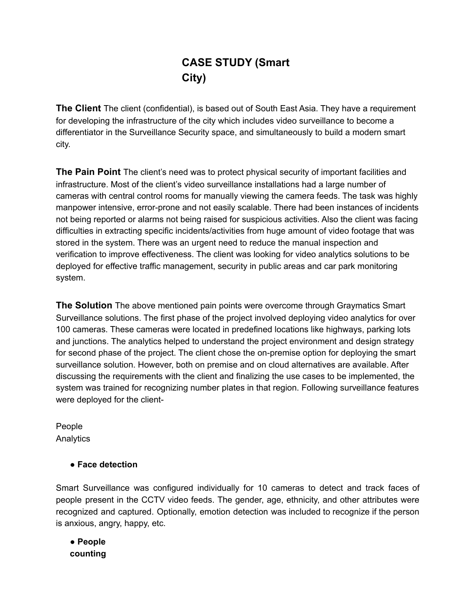# **CASE STUDY (Smart City)**

**The Client** The client (confidential), is based out of South East Asia. They have a requirement for developing the infrastructure of the city which includes video surveillance to become a differentiator in the Surveillance Security space, and simultaneously to build a modern smart city.

**The Pain Point** The client's need was to protect physical security of important facilities and infrastructure. Most of the client's video surveillance installations had a large number of cameras with central control rooms for manually viewing the camera feeds. The task was highly manpower intensive, error-prone and not easily scalable. There had been instances of incidents not being reported or alarms not being raised for suspicious activities. Also the client was facing difficulties in extracting specific incidents/activities from huge amount of video footage that was stored in the system. There was an urgent need to reduce the manual inspection and verification to improve effectiveness. The client was looking for video analytics solutions to be deployed for effective traffic management, security in public areas and car park monitoring system.

**The Solution** The above mentioned pain points were overcome through Graymatics Smart Surveillance solutions. The first phase of the project involved deploying video analytics for over 100 cameras. These cameras were located in predefined locations like highways, parking lots and junctions. The analytics helped to understand the project environment and design strategy for second phase of the project. The client chose the on-premise option for deploying the smart surveillance solution. However, both on premise and on cloud alternatives are available. After discussing the requirements with the client and finalizing the use cases to be implemented, the system was trained for recognizing number plates in that region. Following surveillance features were deployed for the client-

People Analytics

## ● **Face detection**

Smart Surveillance was configured individually for 10 cameras to detect and track faces of people present in the CCTV video feeds. The gender, age, ethnicity, and other attributes were recognized and captured. Optionally, emotion detection was included to recognize if the person is anxious, angry, happy, etc.

● **People counting**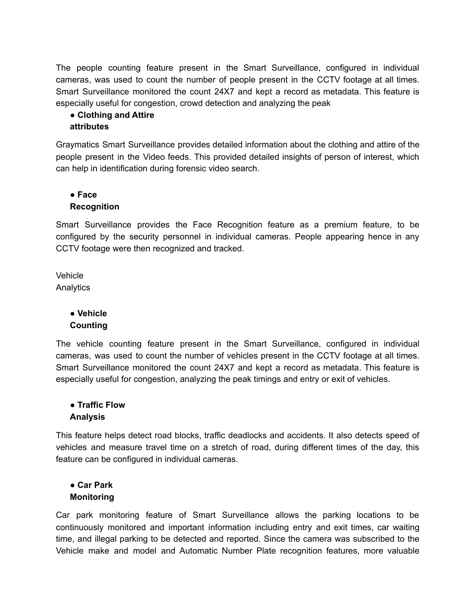The people counting feature present in the Smart Surveillance, configured in individual cameras, was used to count the number of people present in the CCTV footage at all times. Smart Surveillance monitored the count 24X7 and kept a record as metadata. This feature is especially useful for congestion, crowd detection and analyzing the peak

# ● **Clothing and Attire**

#### **attributes**

Graymatics Smart Surveillance provides detailed information about the clothing and attire of the people present in the Video feeds. This provided detailed insights of person of interest, which can help in identification during forensic video search.

# ● **Face Recognition**

Smart Surveillance provides the Face Recognition feature as a premium feature, to be configured by the security personnel in individual cameras. People appearing hence in any CCTV footage were then recognized and tracked.

Vehicle Analytics

## ● **Vehicle Counting**

The vehicle counting feature present in the Smart Surveillance, configured in individual cameras, was used to count the number of vehicles present in the CCTV footage at all times. Smart Surveillance monitored the count 24X7 and kept a record as metadata. This feature is especially useful for congestion, analyzing the peak timings and entry or exit of vehicles.

## ● **Traffic Flow Analysis**

This feature helps detect road blocks, traffic deadlocks and accidents. It also detects speed of vehicles and measure travel time on a stretch of road, during different times of the day, this feature can be configured in individual cameras.

## ● **Car Park Monitoring**

Car park monitoring feature of Smart Surveillance allows the parking locations to be continuously monitored and important information including entry and exit times, car waiting time, and illegal parking to be detected and reported. Since the camera was subscribed to the Vehicle make and model and Automatic Number Plate recognition features, more valuable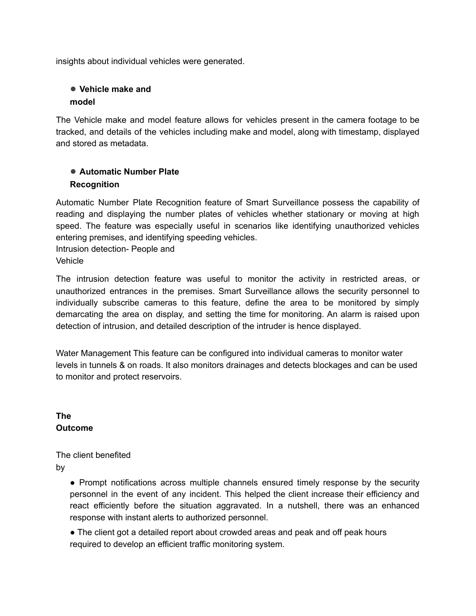insights about individual vehicles were generated.

## ● **Vehicle make and model**

The Vehicle make and model feature allows for vehicles present in the camera footage to be tracked, and details of the vehicles including make and model, along with timestamp, displayed and stored as metadata.

## ● **Automatic Number Plate Recognition**

Automatic Number Plate Recognition feature of Smart Surveillance possess the capability of reading and displaying the number plates of vehicles whether stationary or moving at high speed. The feature was especially useful in scenarios like identifying unauthorized vehicles entering premises, and identifying speeding vehicles.

Intrusion detection- People and **Vehicle** 

The intrusion detection feature was useful to monitor the activity in restricted areas, or unauthorized entrances in the premises. Smart Surveillance allows the security personnel to individually subscribe cameras to this feature, define the area to be monitored by simply demarcating the area on display, and setting the time for monitoring. An alarm is raised upon detection of intrusion, and detailed description of the intruder is hence displayed.

Water Management This feature can be configured into individual cameras to monitor water levels in tunnels & on roads. It also monitors drainages and detects blockages and can be used to monitor and protect reservoirs.

**The Outcome**

The client benefited by

> ● Prompt notifications across multiple channels ensured timely response by the security personnel in the event of any incident. This helped the client increase their efficiency and react efficiently before the situation aggravated. In a nutshell, there was an enhanced response with instant alerts to authorized personnel.

• The client got a detailed report about crowded areas and peak and off peak hours required to develop an efficient traffic monitoring system.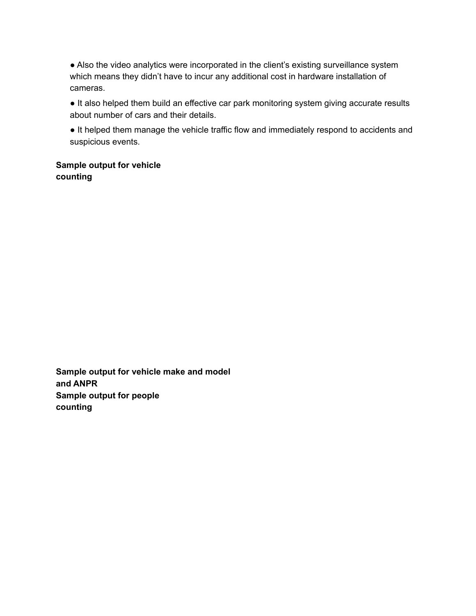● Also the video analytics were incorporated in the client's existing surveillance system which means they didn't have to incur any additional cost in hardware installation of cameras.

• It also helped them build an effective car park monitoring system giving accurate results about number of cars and their details.

● It helped them manage the vehicle traffic flow and immediately respond to accidents and suspicious events.

**Sample output for vehicle counting**

**Sample output for vehicle make and model and ANPR Sample output for people counting**